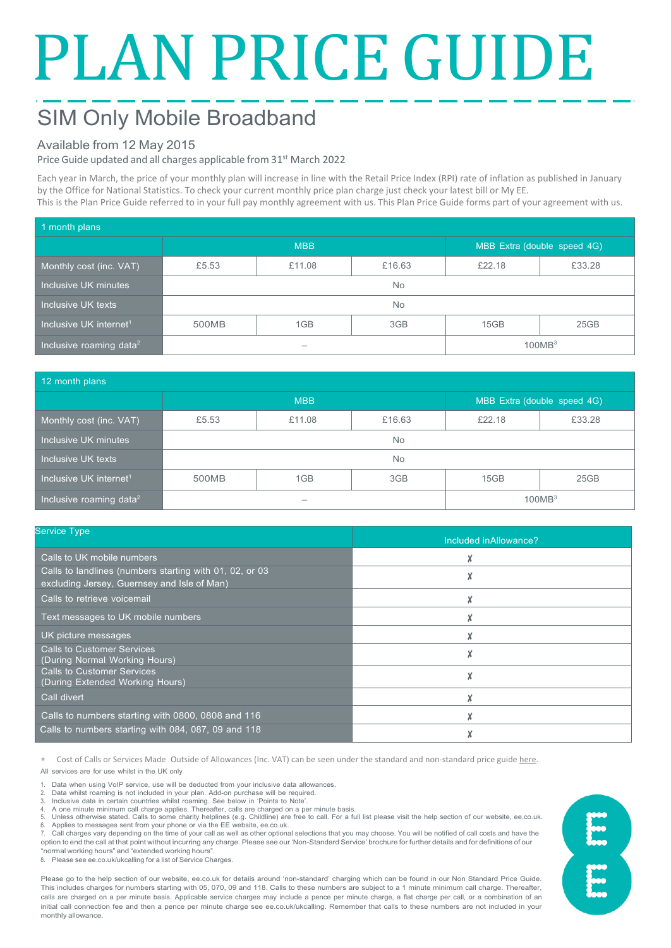# PLAN PRICE GUIDE

# SIM Only Mobile Broadband

# Available from 12 May 2015

# Price Guide updated and all charges applicable from 31<sup>st</sup> March 2022

Each year in March, the price of your monthly plan will increase in line with the Retail Price Index (RPI) rate of inflation as published in January by the Office for National Statistics. To check your current monthly price plan charge just check your latest bill or My EE. This is the Plan Price Guide referred to in your full pay monthly agreement with us. This Plan Price Guide forms part of your agreement with us.

| 1 month plans                       |            |        |        |                             |        |  |  |
|-------------------------------------|------------|--------|--------|-----------------------------|--------|--|--|
|                                     | <b>MBB</b> |        |        | MBB Extra (double speed 4G) |        |  |  |
| Monthly cost (inc. VAT)             | £5.53      | £11.08 | £16.63 | £22.18                      | £33.28 |  |  |
| Inclusive UK minutes                | <b>No</b>  |        |        |                             |        |  |  |
| Inclusive UK texts                  | No.        |        |        |                             |        |  |  |
| Inclusive UK internet <sup>1</sup>  | 500MB      | 1GB    | 3GB    | 15GB                        | 25GB   |  |  |
| Inclusive roaming data <sup>2</sup> |            |        |        | 100MB <sup>3</sup>          |        |  |  |

| 12 month plans                      |            |        |        |                             |        |  |
|-------------------------------------|------------|--------|--------|-----------------------------|--------|--|
|                                     | <b>MBB</b> |        |        | MBB Extra (double speed 4G) |        |  |
| Monthly cost (inc. VAT)             | £5.53      | £11.08 | £16.63 | £22.18                      | £33.28 |  |
| Inclusive UK minutes                | No.        |        |        |                             |        |  |
| Inclusive UK texts                  | <b>No</b>  |        |        |                             |        |  |
| Inclusive UK internet <sup>1</sup>  | 500MB      | 1GB    | 3GB    | 15GB                        | 25GB   |  |
| Inclusive roaming data <sup>2</sup> |            |        |        | 100MB <sup>3</sup>          |        |  |

| <b>Service Type</b>                                                                                    | Included inAllowance? |  |  |
|--------------------------------------------------------------------------------------------------------|-----------------------|--|--|
| Calls to UK mobile numbers                                                                             |                       |  |  |
| Calls to landlines (numbers starting with 01, 02, or 03<br>excluding Jersey, Guernsey and Isle of Man) |                       |  |  |
| Calls to retrieve voicemail                                                                            |                       |  |  |
| Text messages to UK mobile numbers                                                                     |                       |  |  |
| UK picture messages                                                                                    |                       |  |  |
| <b>Calls to Customer Services</b><br>(During Normal Working Hours)                                     |                       |  |  |
| <b>Calls to Customer Services</b><br>(During Extended Working Hours)                                   |                       |  |  |
| Call divert                                                                                            |                       |  |  |
| Calls to numbers starting with 0800, 0808 and 116                                                      |                       |  |  |
| Calls to numbers starting with 084, 087, 09 and 118                                                    |                       |  |  |

Cost of Calls or Services Made Outside of Allowances (Inc. VAT) can be seen under the standard and non-standard price guid[e here.](https://ee.co.uk/help/help-new/price-plans/mobile/pay-monthly-price-plans) All services are for use whilst in the UK only

- 1. Data when using VoIP service, use will be deducted from your inclusive data allowances.<br>2. Data whilst roaming is not included in your plan. Add-on purchase will be required
- 2. Data whilst roaming is not included in your plan. Add-on purchase will be required.

3. Inclusive data in certain countries whilst roaming. See below in 'Points to Note'. 4. A one minute minimum call charge applies. Thereafter, calls are charged on a per minute basis.

5. Unless otherwise stated. Calls to some charity helplines (e.g. Childline) are free to call. For a full list please visit the help section of our website, ee.co.uk.<br>6. Applies to messages sent from your phone or via t

7. Call charges vary depending on the time of your call as well as other optional selections that you may choose. You will be notified of call costs and have the option to end the call at that point without incurring any charge. Please see our 'Non-Standard Service' brochure for further details and for definitions of our

"normal working hours" and "extended working hours". 8. Please see ee.co.uk/ukcalling for a list of Service Charges.

Please go to the help section of our website, ee.co.uk for details around 'non-standard' charging which can be found in our Non Standard Price Guide. This includes charges for numbers starting with 05, 070, 09 and 118. Calls to these numbers are subject to a 1 minute minimum call charge. Thereafter, calls are charged on a per minute basis. Applicable service charges may include a pence per minute charge, a flat charge per call, or a combination of an initial call connection fee and then a pence per minute charge see ee.co.uk/ukcalling. Remember that calls to these numbers are not included in your monthly allowance.